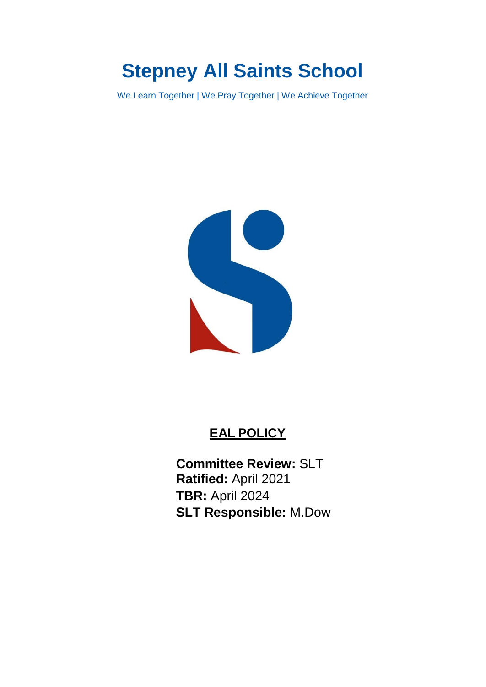# **Stepney All Saints School**

We Learn Together | We Pray Together | We Achieve Together



## **EAL POLICY**

**Committee Review:** SLT **Ratified:** April 2021 **TBR:** April 2024 **SLT Responsible:** M.Dow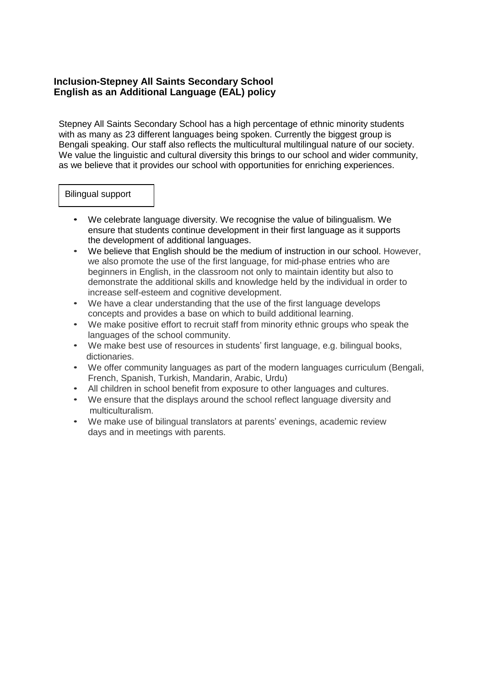### **Inclusion-Stepney All Saints Secondary School English as an Additional Language (EAL) policy**

Stepney All Saints Secondary School has a high percentage of ethnic minority students with as many as 23 different languages being spoken. Currently the biggest group is Bengali speaking. Our staff also reflects the multicultural multilingual nature of our society. We value the linguistic and cultural diversity this brings to our school and wider community, as we believe that it provides our school with opportunities for enriching experiences.

#### Bilingual support

- We celebrate language diversity. We recognise the value of bilingualism. We ensure that students continue development in their first language as it supports the development of additional languages.
- We believe that English should be the medium of instruction in our school. However, we also promote the use of the first language, for mid-phase entries who are beginners in English, in the classroom not only to maintain identity but also to demonstrate the additional skills and knowledge held by the individual in order to increase self-esteem and cognitive development.
- We have a clear understanding that the use of the first language develops concepts and provides a base on which to build additional learning.
- We make positive effort to recruit staff from minority ethnic groups who speak the languages of the school community.
- We make best use of resources in students' first language, e.g. bilingual books, dictionaries.
- We offer community languages as part of the modern languages curriculum (Bengali, French, Spanish, Turkish, Mandarin, Arabic, Urdu)
- All children in school benefit from exposure to other languages and cultures.
- We ensure that the displays around the school reflect language diversity and multiculturalism.
- We make use of bilingual translators at parents' evenings, academic review days and in meetings with parents.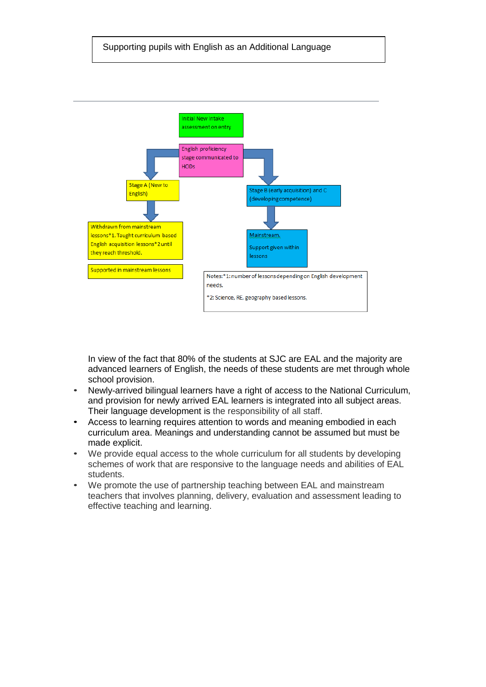

In view of the fact that 80% of the students at SJC are EAL and the majority are advanced learners of English, the needs of these students are met through whole school provision.

- Newly-arrived bilingual learners have a right of access to the National Curriculum, and provision for newly arrived EAL learners is integrated into all subject areas. Their language development is the responsibility of all staff.
- Access to learning requires attention to words and meaning embodied in each curriculum area. Meanings and understanding cannot be assumed but must be made explicit.
- We provide equal access to the whole curriculum for all students by developing schemes of work that are responsive to the language needs and abilities of EAL students.
- We promote the use of partnership teaching between EAL and mainstream teachers that involves planning, delivery, evaluation and assessment leading to effective teaching and learning.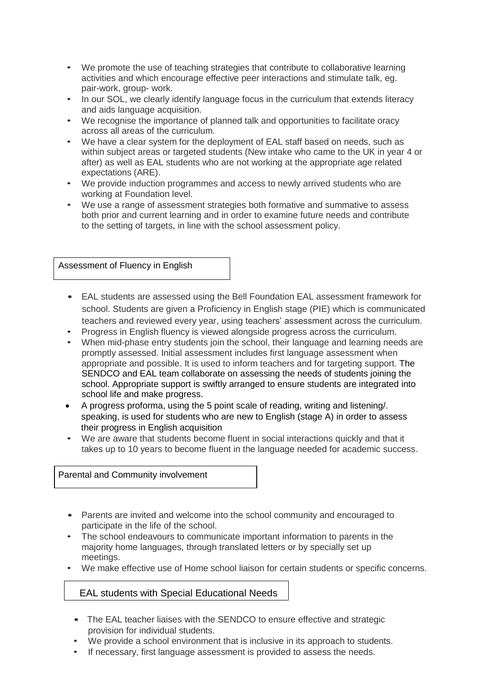- We promote the use of teaching strategies that contribute to collaborative learning activities and which encourage effective peer interactions and stimulate talk, eg. pair-work, group- work.
- In our SOL, we clearly identify language focus in the curriculum that extends literacy and aids language acquisition.
- We recognise the importance of planned talk and opportunities to facilitate oracy across all areas of the curriculum.
- We have a clear system for the deployment of EAL staff based on needs, such as within subject areas or targeted students (New intake who came to the UK in year 4 or after) as well as EAL students who are not working at the appropriate age related expectations (ARE).
- We provide induction programmes and access to newly arrived students who are working at Foundation level.
- We use a range of assessment strategies both formative and summative to assess both prior and current learning and in order to examine future needs and contribute to the setting of targets, in line with the school assessment policy.

Assessment of Fluency in English

- EAL students are assessed using the Bell Foundation EAL assessment framework for school. Students are given a Proficiency in English stage (PIE) which is communicated teachers and reviewed every year, using teachers' assessment across the curriculum.
- Progress in English fluency is viewed alongside progress across the curriculum.
- When mid-phase entry students join the school, their language and learning needs are promptly assessed. Initial assessment includes first language assessment when appropriate and possible. It is used to inform teachers and for targeting support. The SENDCO and EAL team collaborate on assessing the needs of students joining the school. Appropriate support is swiftly arranged to ensure students are integrated into school life and make progress.
- A progress proforma, using the 5 point scale of reading, writing and listening/. speaking, is used for students who are new to English (stage A) in order to assess their progress in English acquisition
- We are aware that students become fluent in social interactions quickly and that it takes up to 10 years to become fluent in the language needed for academic success.

Parental and Community involvement

- Parents are invited and welcome into the school community and encouraged to participate in the life of the school.
- The school endeavours to communicate important information to parents in the majority home languages, through translated letters or by specially set up meetings.
- We make effective use of Home school liaison for certain students or specific concerns.

### EAL students with Special Educational Needs

- The EAL teacher liaises with the SENDCO to ensure effective and strategic provision for individual students.
- We provide a school environment that is inclusive in its approach to students.
- If necessary, first language assessment is provided to assess the needs.